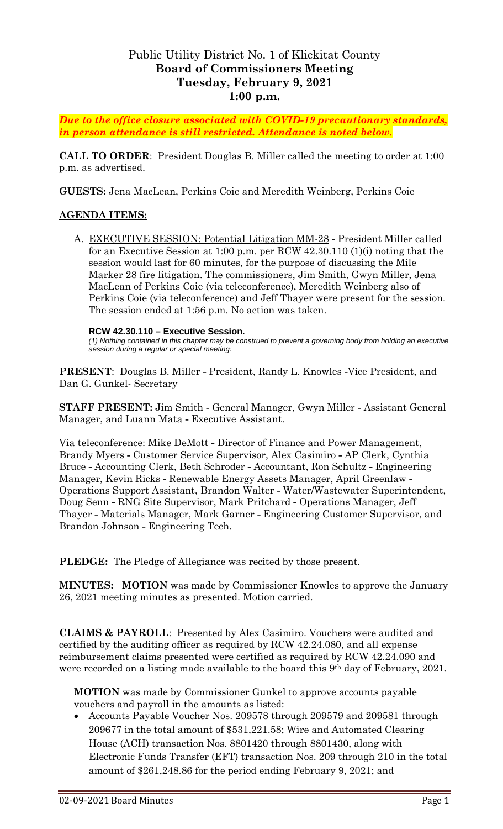# Public Utility District No. 1 of Klickitat County **Board of Commissioners Meeting Tuesday, February 9, 2021 1:00 p.m.**

*Due to the office closure associated with COVID-19 precautionary standards, in person attendance is still restricted. Attendance is noted below.*

**CALL TO ORDER**: President Douglas B. Miller called the meeting to order at 1:00 p.m. as advertised.

**GUESTS:** Jena MacLean, Perkins Coie and Meredith Weinberg, Perkins Coie

### **AGENDA ITEMS:**

A. EXECUTIVE SESSION: Potential Litigation MM-28 **-** President Miller called for an Executive Session at 1:00 p.m. per RCW 42.30.110 (1)(i) noting that the session would last for 60 minutes, for the purpose of discussing the Mile Marker 28 fire litigation. The commissioners, Jim Smith, Gwyn Miller, Jena MacLean of Perkins Coie (via teleconference), Meredith Weinberg also of Perkins Coie (via teleconference) and Jeff Thayer were present for the session. The session ended at 1:56 p.m. No action was taken.

#### **RCW 42.30.110 – Executive Session.**

*(1) Nothing contained in this chapter may be construed to prevent a governing body from holding an executive session during a regular or special meeting:*

**PRESENT**: Douglas B. Miller **-** President, Randy L. Knowles **-**Vice President, and Dan G. Gunkel- Secretary

**STAFF PRESENT:** Jim Smith **-** General Manager, Gwyn Miller **-** Assistant General Manager, and Luann Mata **-** Executive Assistant.

Via teleconference: Mike DeMott **-** Director of Finance and Power Management, Brandy Myers **-** Customer Service Supervisor, Alex Casimiro **-** AP Clerk, Cynthia Bruce **-** Accounting Clerk, Beth Schroder **-** Accountant, Ron Schultz **-** Engineering Manager, Kevin Ricks **-** Renewable Energy Assets Manager, April Greenlaw **-** Operations Support Assistant, Brandon Walter **-** Water/Wastewater Superintendent, Doug Senn **-** RNG Site Supervisor, Mark Pritchard **-** Operations Manager, Jeff Thayer **-** Materials Manager, Mark Garner **-** Engineering Customer Supervisor, and Brandon Johnson **-** Engineering Tech.

**PLEDGE:** The Pledge of Allegiance was recited by those present.

**MINUTES: MOTION** was made by Commissioner Knowles to approve the January 26, 2021 meeting minutes as presented. Motion carried.

**CLAIMS & PAYROLL**: Presented by Alex Casimiro. Vouchers were audited and certified by the auditing officer as required by RCW 42.24.080, and all expense reimbursement claims presented were certified as required by RCW 42.24.090 and were recorded on a listing made available to the board this 9<sup>th</sup> day of February, 2021.

**MOTION** was made by Commissioner Gunkel to approve accounts payable vouchers and payroll in the amounts as listed:

• Accounts Payable Voucher Nos. 209578 through 209579 and 209581 through 209677 in the total amount of \$531,221.58; Wire and Automated Clearing House (ACH) transaction Nos. 8801420 through 8801430, along with Electronic Funds Transfer (EFT) transaction Nos. 209 through 210 in the total amount of \$261,248.86 for the period ending February 9, 2021; and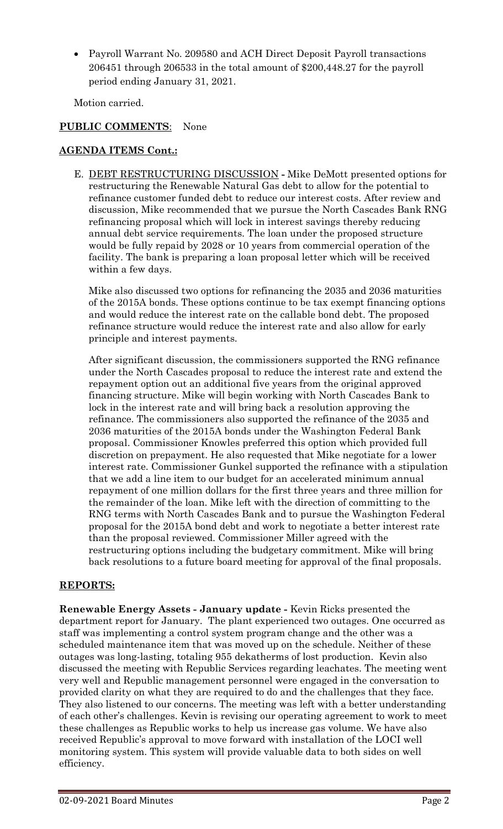• Payroll Warrant No. 209580 and ACH Direct Deposit Payroll transactions 206451 through 206533 in the total amount of \$200,448.27 for the payroll period ending January 31, 2021.

Motion carried.

## **PUBLIC COMMENTS**: None

### **AGENDA ITEMS Cont.:**

E. DEBT RESTRUCTURING DISCUSSION **-** Mike DeMott presented options for restructuring the Renewable Natural Gas debt to allow for the potential to refinance customer funded debt to reduce our interest costs. After review and discussion, Mike recommended that we pursue the North Cascades Bank RNG refinancing proposal which will lock in interest savings thereby reducing annual debt service requirements. The loan under the proposed structure would be fully repaid by 2028 or 10 years from commercial operation of the facility. The bank is preparing a loan proposal letter which will be received within a few days.

Mike also discussed two options for refinancing the 2035 and 2036 maturities of the 2015A bonds. These options continue to be tax exempt financing options and would reduce the interest rate on the callable bond debt. The proposed refinance structure would reduce the interest rate and also allow for early principle and interest payments.

After significant discussion, the commissioners supported the RNG refinance under the North Cascades proposal to reduce the interest rate and extend the repayment option out an additional five years from the original approved financing structure. Mike will begin working with North Cascades Bank to lock in the interest rate and will bring back a resolution approving the refinance. The commissioners also supported the refinance of the 2035 and 2036 maturities of the 2015A bonds under the Washington Federal Bank proposal. Commissioner Knowles preferred this option which provided full discretion on prepayment. He also requested that Mike negotiate for a lower interest rate. Commissioner Gunkel supported the refinance with a stipulation that we add a line item to our budget for an accelerated minimum annual repayment of one million dollars for the first three years and three million for the remainder of the loan. Mike left with the direction of committing to the RNG terms with North Cascades Bank and to pursue the Washington Federal proposal for the 2015A bond debt and work to negotiate a better interest rate than the proposal reviewed. Commissioner Miller agreed with the restructuring options including the budgetary commitment. Mike will bring back resolutions to a future board meeting for approval of the final proposals.

#### **REPORTS:**

**Renewable Energy Assets - January update -** Kevin Ricks presented the department report for January. The plant experienced two outages. One occurred as staff was implementing a control system program change and the other was a scheduled maintenance item that was moved up on the schedule. Neither of these outages was long-lasting, totaling 955 dekatherms of lost production. Kevin also discussed the meeting with Republic Services regarding leachates. The meeting went very well and Republic management personnel were engaged in the conversation to provided clarity on what they are required to do and the challenges that they face. They also listened to our concerns. The meeting was left with a better understanding of each other's challenges. Kevin is revising our operating agreement to work to meet these challenges as Republic works to help us increase gas volume. We have also received Republic's approval to move forward with installation of the LOCI well monitoring system. This system will provide valuable data to both sides on well efficiency.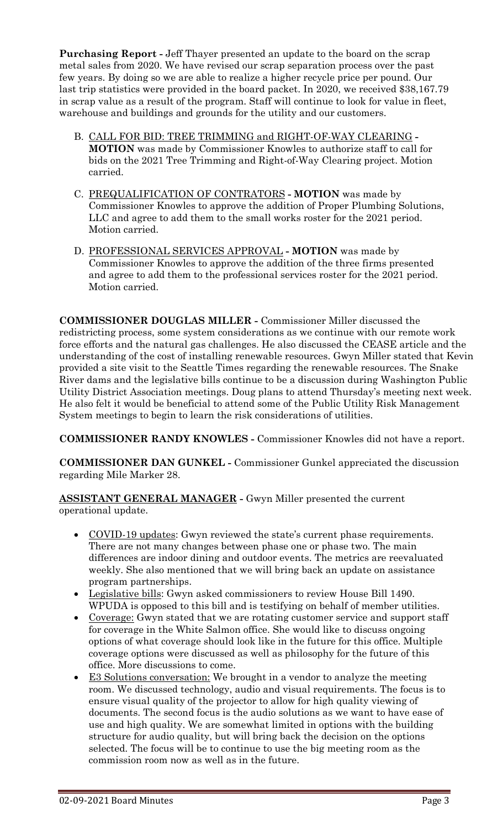**Purchasing Report -** Jeff Thayer presented an update to the board on the scrap metal sales from 2020. We have revised our scrap separation process over the past few years. By doing so we are able to realize a higher recycle price per pound. Our last trip statistics were provided in the board packet. In 2020, we received \$38,167.79 in scrap value as a result of the program. Staff will continue to look for value in fleet, warehouse and buildings and grounds for the utility and our customers.

- B. CALL FOR BID: TREE TRIMMING and RIGHT-OF-WAY CLEARING **- MOTION** was made by Commissioner Knowles to authorize staff to call for bids on the 2021 Tree Trimming and Right-of-Way Clearing project. Motion carried.
- C. PREQUALIFICATION OF CONTRATORS **- MOTION** was made by Commissioner Knowles to approve the addition of Proper Plumbing Solutions, LLC and agree to add them to the small works roster for the 2021 period. Motion carried.
- D. PROFESSIONAL SERVICES APPROVAL **- MOTION** was made by Commissioner Knowles to approve the addition of the three firms presented and agree to add them to the professional services roster for the 2021 period. Motion carried.

**COMMISSIONER DOUGLAS MILLER -** Commissioner Miller discussed the redistricting process, some system considerations as we continue with our remote work force efforts and the natural gas challenges. He also discussed the CEASE article and the understanding of the cost of installing renewable resources. Gwyn Miller stated that Kevin provided a site visit to the Seattle Times regarding the renewable resources. The Snake River dams and the legislative bills continue to be a discussion during Washington Public Utility District Association meetings. Doug plans to attend Thursday's meeting next week. He also felt it would be beneficial to attend some of the Public Utility Risk Management System meetings to begin to learn the risk considerations of utilities.

**COMMISSIONER RANDY KNOWLES -** Commissioner Knowles did not have a report.

**COMMISSIONER DAN GUNKEL -** Commissioner Gunkel appreciated the discussion regarding Mile Marker 28.

**ASSISTANT GENERAL MANAGER -** Gwyn Miller presented the current operational update.

- COVID-19 updates: Gwyn reviewed the state's current phase requirements. There are not many changes between phase one or phase two. The main differences are indoor dining and outdoor events. The metrics are reevaluated weekly. She also mentioned that we will bring back an update on assistance program partnerships.
- Legislative bills: Gwyn asked commissioners to review House Bill 1490. WPUDA is opposed to this bill and is testifying on behalf of member utilities.
- Coverage: Gwyn stated that we are rotating customer service and support staff for coverage in the White Salmon office. She would like to discuss ongoing options of what coverage should look like in the future for this office. Multiple coverage options were discussed as well as philosophy for the future of this office. More discussions to come.
- E3 Solutions conversation: We brought in a vendor to analyze the meeting room. We discussed technology, audio and visual requirements. The focus is to ensure visual quality of the projector to allow for high quality viewing of documents. The second focus is the audio solutions as we want to have ease of use and high quality. We are somewhat limited in options with the building structure for audio quality, but will bring back the decision on the options selected. The focus will be to continue to use the big meeting room as the commission room now as well as in the future.